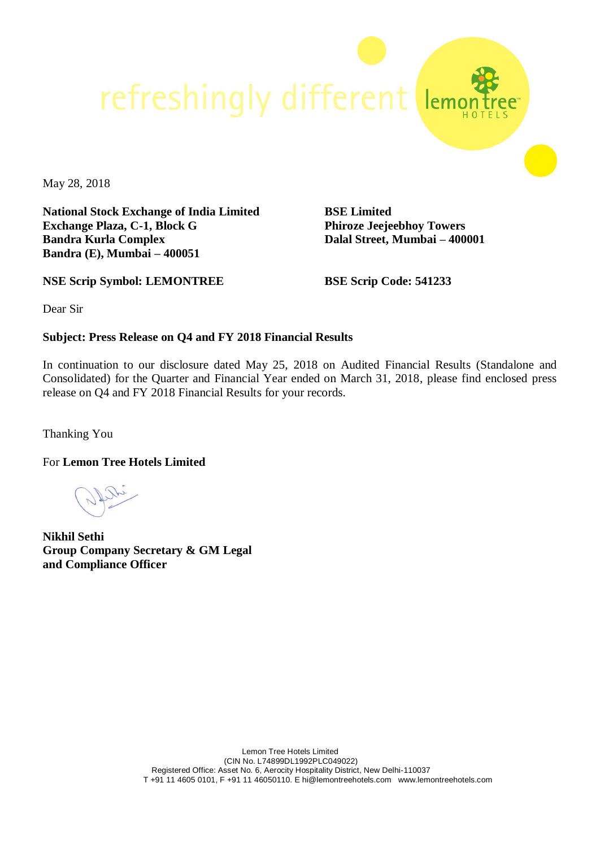refreshingly different

May 28, 2018

**National Stock Exchange of India Limited Exchange Plaza, C-1, Block G Bandra Kurla Complex Bandra (E), Mumbai – 400051**

**BSE Limited Phiroze Jeejeebhoy Towers Dalal Street, Mumbai – 400001**

**NSE Scrip Symbol: LEMONTREE**

**BSE Scrip Code: 541233**

Dear Sir

#### **Subject: Press Release on Q4 and FY 2018 Financial Results**

In continuation to our disclosure dated May 25, 2018 on Audited Financial Results (Standalone and Consolidated) for the Quarter and Financial Year ended on March 31, 2018, please find enclosed press release on Q4 and FY 2018 Financial Results for your records.

Thanking You

For **Lemon Tree Hotels Limited**

**Nikhil Sethi Group Company Secretary & GM Legal and Compliance Officer**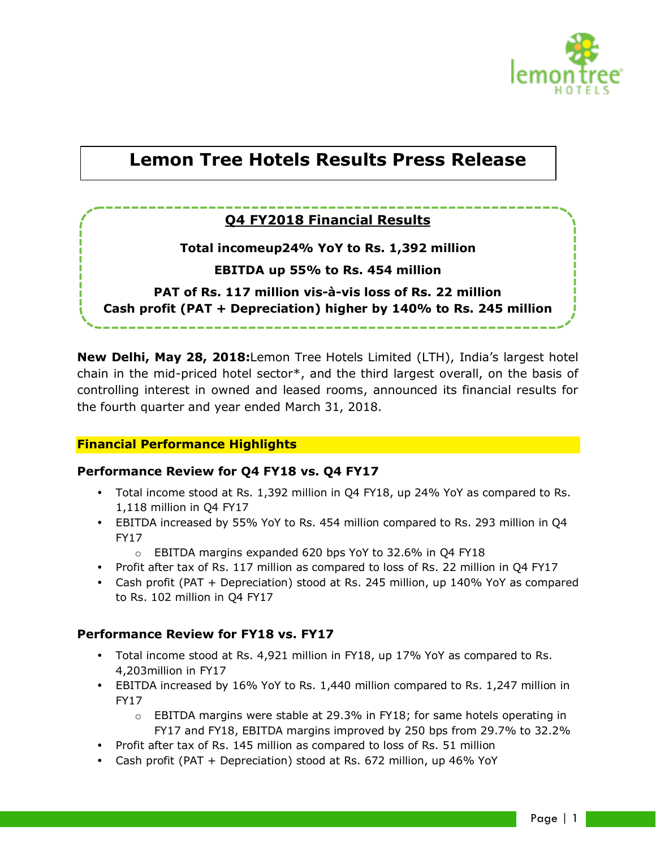

# **Lemon Tree Hotels Results Press Release**

# **Q4 FY2018 Financial Results**

**Total incomeup24% YoY to Rs. 1,392 million**

**EBITDA up 55% to Rs. 454 million**

**PAT of Rs. 117 million vis-à-vis loss of Rs. 22 million Cash profit (PAT + Depreciation) higher by 140% to Rs. 245 million**

**New Delhi, May 28, 2018:**Lemon Tree Hotels Limited (LTH), India's largest hotel chain in the mid-priced hotel sector\*, and the third largest overall, on the basis of controlling interest in owned and leased rooms, announced its financial results for the fourth quarter and year ended March 31, 2018.

## **Financial Performance Highlights**

#### **Performance Review for Q4 FY18 vs. Q4 FY17**

- Total income stood at Rs. 1,392 million in Q4 FY18, up 24% YoY as compared to Rs. 1,118 million in Q4 FY17
- EBITDA increased by 55% YoY to Rs. 454 million compared to Rs. 293 million in Q4 FY17
	- o EBITDA margins expanded 620 bps YoY to 32.6% in Q4 FY18
- Profit after tax of Rs. 117 million as compared to loss of Rs. 22 million in Q4 FY17
- Cash profit (PAT + Depreciation) stood at Rs. 245 million, up 140% YoY as compared to Rs. 102 million in Q4 FY17

#### **Performance Review for FY18 vs. FY17**

- Total income stood at Rs. 4,921 million in FY18, up 17% YoY as compared to Rs. 4,203million in FY17
- EBITDA increased by 16% YoY to Rs. 1,440 million compared to Rs. 1,247 million in FY17
	- $\circ$  EBITDA margins were stable at 29.3% in FY18; for same hotels operating in FY17 and FY18, EBITDA margins improved by 250 bps from 29.7% to 32.2%
- Profit after tax of Rs. 145 million as compared to loss of Rs. 51 million
- Cash profit (PAT + Depreciation) stood at Rs. 672 million, up 46% YoY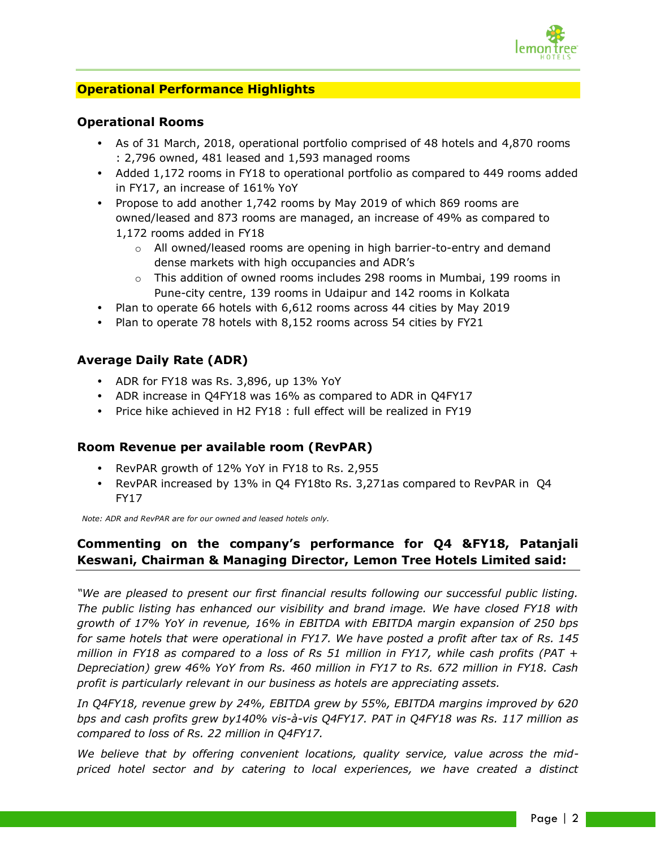

### **Operational Performance Highlights**

#### **Operational Rooms**

- As of 31 March, 2018, operational portfolio comprised of 48 hotels and 4,870 rooms : 2,796 owned, 481 leased and 1,593 managed rooms
- Added 1,172 rooms in FY18 to operational portfolio as compared to 449 rooms added in FY17, an increase of 161% YoY
- Propose to add another 1,742 rooms by May 2019 of which 869 rooms are owned/leased and 873 rooms are managed, an increase of 49% as compared to 1,172 rooms added in FY18
	- $\circ$  All owned/leased rooms are opening in high barrier-to-entry and demand dense markets with high occupancies and ADR's
	- $\circ$  This addition of owned rooms includes 298 rooms in Mumbai, 199 rooms in Pune-city centre, 139 rooms in Udaipur and 142 rooms in Kolkata
- Plan to operate 66 hotels with 6,612 rooms across 44 cities by May 2019
- Plan to operate 78 hotels with 8,152 rooms across 54 cities by FY21

#### **Average Daily Rate (ADR)**

- ADR for FY18 was Rs. 3,896, up 13% YoY
- ADR increase in Q4FY18 was 16% as compared to ADR in Q4FY17
- Price hike achieved in H2 FY18 : full effect will be realized in FY19

#### **Room Revenue per available room (RevPAR)**

- RevPAR growth of 12% YoY in FY18 to Rs. 2,955
- RevPAR increased by 13% in Q4 FY18to Rs. 3,271as compared to RevPAR in Q4 FY17

*Note: ADR and RevPAR are for our owned and leased hotels only.* 

# **Commenting on the company's performance for Q4 &FY18, Patanjali Keswani, Chairman & Managing Director, Lemon Tree Hotels Limited said:**

*"We are pleased to present our first financial results following our successful public listing. The public listing has enhanced our visibility and brand image. We have closed FY18 with growth of 17% YoY in revenue, 16% in EBITDA with EBITDA margin expansion of 250 bps for same hotels that were operational in FY17. We have posted a profit after tax of Rs. 145 million in FY18 as compared to a loss of Rs 51 million in FY17, while cash profits (PAT + Depreciation) grew 46% YoY from Rs. 460 million in FY17 to Rs. 672 million in FY18. Cash profit is particularly relevant in our business as hotels are appreciating assets.*

*In Q4FY18, revenue grew by 24%, EBITDA grew by 55%, EBITDA margins improved by 620 bps and cash profits grew by140% vis-à-vis Q4FY17. PAT in Q4FY18 was Rs. 117 million as compared to loss of Rs. 22 million in Q4FY17.*

*We believe that by offering convenient locations, quality service, value across the midpriced hotel sector and by catering to local experiences, we have created a distinct*